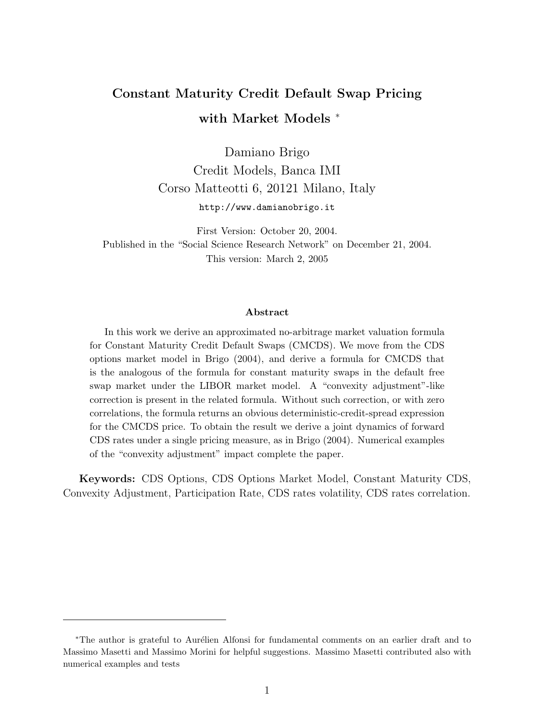## Constant Maturity Credit Default Swap Pricing with Market Models  $*$

Damiano Brigo Credit Models, Banca IMI Corso Matteotti 6, 20121 Milano, Italy http://www.damianobrigo.it

First Version: October 20, 2004. Published in the "Social Science Research Network" on December 21, 2004. This version: March 2, 2005

#### Abstract

In this work we derive an approximated no-arbitrage market valuation formula for Constant Maturity Credit Default Swaps (CMCDS). We move from the CDS options market model in Brigo (2004), and derive a formula for CMCDS that is the analogous of the formula for constant maturity swaps in the default free swap market under the LIBOR market model. A "convexity adjustment"-like correction is present in the related formula. Without such correction, or with zero correlations, the formula returns an obvious deterministic-credit-spread expression for the CMCDS price. To obtain the result we derive a joint dynamics of forward CDS rates under a single pricing measure, as in Brigo (2004). Numerical examples of the "convexity adjustment" impact complete the paper.

Keywords: CDS Options, CDS Options Market Model, Constant Maturity CDS, Convexity Adjustment, Participation Rate, CDS rates volatility, CDS rates correlation.

<sup>\*</sup>The author is grateful to Aurélien Alfonsi for fundamental comments on an earlier draft and to Massimo Masetti and Massimo Morini for helpful suggestions. Massimo Masetti contributed also with numerical examples and tests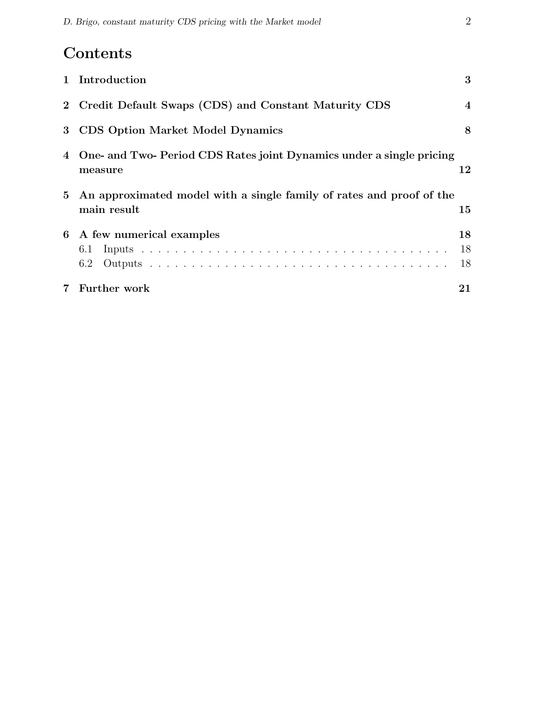# Contents

|                | Further work                                                                          | 21               |
|----------------|---------------------------------------------------------------------------------------|------------------|
|                | 6.2                                                                                   | 18               |
|                | 6.1                                                                                   | 18               |
| 6              | A few numerical examples                                                              | 18               |
|                | 5 An approximated model with a single family of rates and proof of the<br>main result | 15               |
|                | 4 One- and Two- Period CDS Rates joint Dynamics under a single pricing<br>measure     | 12               |
| 3 <sup>1</sup> | <b>CDS</b> Option Market Model Dynamics                                               | 8                |
|                | 2 Credit Default Swaps (CDS) and Constant Maturity CDS                                | $\boldsymbol{4}$ |
| $\mathbf{1}$   | Introduction                                                                          | 3                |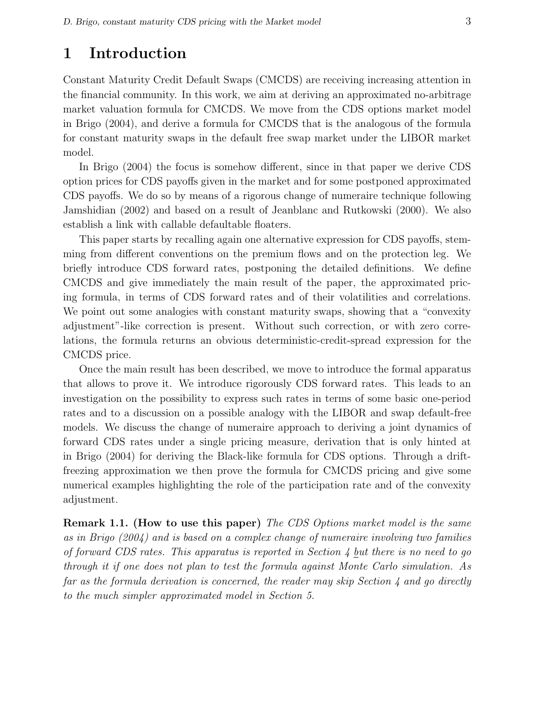## 1 Introduction

Constant Maturity Credit Default Swaps (CMCDS) are receiving increasing attention in the financial community. In this work, we aim at deriving an approximated no-arbitrage market valuation formula for CMCDS. We move from the CDS options market model in Brigo (2004), and derive a formula for CMCDS that is the analogous of the formula for constant maturity swaps in the default free swap market under the LIBOR market model.

In Brigo (2004) the focus is somehow different, since in that paper we derive CDS option prices for CDS payoffs given in the market and for some postponed approximated CDS payoffs. We do so by means of a rigorous change of numeraire technique following Jamshidian (2002) and based on a result of Jeanblanc and Rutkowski (2000). We also establish a link with callable defaultable floaters.

This paper starts by recalling again one alternative expression for CDS payoffs, stemming from different conventions on the premium flows and on the protection leg. We briefly introduce CDS forward rates, postponing the detailed definitions. We define CMCDS and give immediately the main result of the paper, the approximated pricing formula, in terms of CDS forward rates and of their volatilities and correlations. We point out some analogies with constant maturity swaps, showing that a "convexity" adjustment"-like correction is present. Without such correction, or with zero correlations, the formula returns an obvious deterministic-credit-spread expression for the CMCDS price.

Once the main result has been described, we move to introduce the formal apparatus that allows to prove it. We introduce rigorously CDS forward rates. This leads to an investigation on the possibility to express such rates in terms of some basic one-period rates and to a discussion on a possible analogy with the LIBOR and swap default-free models. We discuss the change of numeraire approach to deriving a joint dynamics of forward CDS rates under a single pricing measure, derivation that is only hinted at in Brigo (2004) for deriving the Black-like formula for CDS options. Through a driftfreezing approximation we then prove the formula for CMCDS pricing and give some numerical examples highlighting the role of the participation rate and of the convexity adjustment.

**Remark 1.1. (How to use this paper)** The CDS Options market model is the same as in Brigo (2004) and is based on a complex change of numeraire involving two families of forward CDS rates. This apparatus is reported in Section 4 but there is no need to go through it if one does not plan to test the formula against Monte Carlo simulation. As far as the formula derivation is concerned, the reader may skip Section 4 and go directly to the much simpler approximated model in Section 5.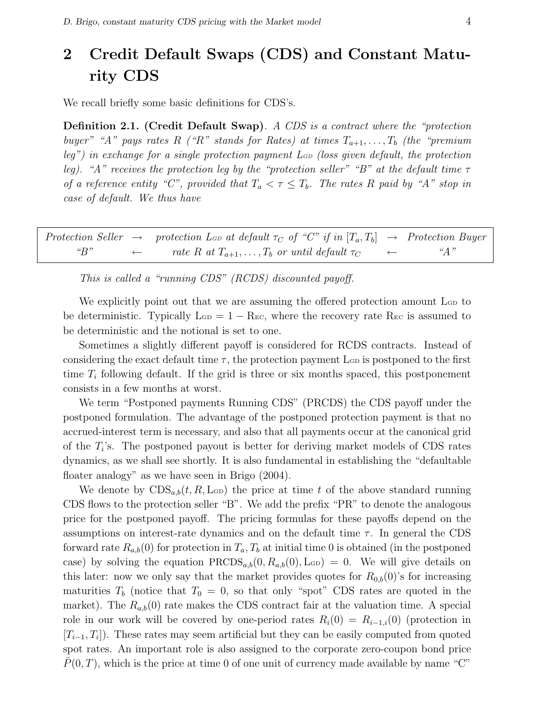## 2 Credit Default Swaps (CDS) and Constant Maturity CDS

We recall briefly some basic definitions for CDS's.

**Definition 2.1.** (Credit Default Swap). A CDS is a contract where the "protection buyer" "A" pays rates R ("R" stands for Rates) at times  $T_{a+1}, \ldots, T_b$  (the "premium leg") in exchange for a single protection payment  $L_{GD}$  (loss given default, the protection leg). "A" receives the protection leg by the "protection seller" "B" at the default time  $\tau$ of a reference entity "C", provided that  $T_a < \tau \leq T_b$ . The rates R paid by "A" stop in case of default. We thus have

|              | Protection Seller $\rightarrow$ protection L <sub>GD</sub> at default $\tau_C$ of "C" if in $[T_a, T_b] \rightarrow$ Protection Buyer |              |                             |
|--------------|---------------------------------------------------------------------------------------------------------------------------------------|--------------|-----------------------------|
| $\alpha R$ " | rate R at $T_{a+1}, \ldots, T_b$ or until default $\tau_C$                                                                            | $\leftarrow$ | $\mathscr{A}$ $\mathscr{A}$ |

This is called a "running CDS" (RCDS) discounted payoff.

We explicitly point out that we are assuming the offered protection amount  $\mathcal{L}_{\text{GD}}$  to be deterministic. Typically  $\text{L}_{\text{GD}} = 1 - \text{R}_{\text{EC}}$ , where the recovery rate  $\text{R}_{\text{EC}}$  is assumed to be deterministic and the notional is set to one.

Sometimes a slightly different payoff is considered for RCDS contracts. Instead of considering the exact default time  $\tau$ , the protection payment L<sub>GD</sub> is postponed to the first time  $T_i$  following default. If the grid is three or six months spaced, this postponement consists in a few months at worst.

We term "Postponed payments Running CDS" (PRCDS) the CDS payoff under the postponed formulation. The advantage of the postponed protection payment is that no accrued-interest term is necessary, and also that all payments occur at the canonical grid of the  $T_i$ 's. The postponed payout is better for deriving market models of CDS rates dynamics, as we shall see shortly. It is also fundamental in establishing the "defaultable floater analogy" as we have seen in Brigo (2004).

We denote by  $CDS_{a,b}(t, R, \text{L}_{GD})$  the price at time t of the above standard running CDS flows to the protection seller "B". We add the prefix "PR" to denote the analogous price for the postponed payoff. The pricing formulas for these payoffs depend on the assumptions on interest-rate dynamics and on the default time  $\tau$ . In general the CDS forward rate  $R_{a,b}(0)$  for protection in  $T_a, T_b$  at initial time 0 is obtained (in the postponed case) by solving the equation  $\text{PRCDS}_{a,b}(0, R_{a,b}(0), \text{LGD}) = 0$ . We will give details on this later: now we only say that the market provides quotes for  $R_{0,b}(0)$ 's for increasing maturities  $T_b$  (notice that  $T_0 = 0$ , so that only "spot" CDS rates are quoted in the market). The  $R_{a,b}(0)$  rate makes the CDS contract fair at the valuation time. A special role in our work will be covered by one-period rates  $R_i(0) = R_{i-1,i}(0)$  (protection in  $[T_{i-1}, T_i]$ ). These rates may seem artificial but they can be easily computed from quoted spot rates. An important role is also assigned to the corporate zero-coupon bond price  $P(0,T)$ , which is the price at time 0 of one unit of currency made available by name "C"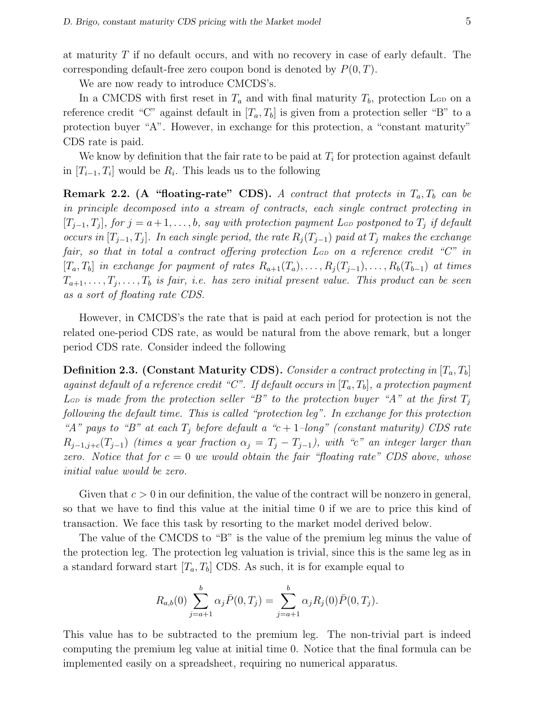at maturity T if no default occurs, and with no recovery in case of early default. The corresponding default-free zero coupon bond is denoted by  $P(0, T)$ .

We are now ready to introduce CMCDS's.

In a CMCDS with first reset in  $T_a$  and with final maturity  $T_b$ , protection L<sub>GD</sub> on a reference credit "C" against default in  $[T_a, T_b]$  is given from a protection seller "B" to a protection buyer "A". However, in exchange for this protection, a "constant maturity" CDS rate is paid.

We know by definition that the fair rate to be paid at  $T_i$  for protection against default in  $[T_{i-1}, T_i]$  would be  $R_i$ . This leads us to the following

**Remark 2.2.** (A "floating-rate" CDS). A contract that protects in  $T_a, T_b$  can be in principle decomposed into a stream of contracts, each single contract protecting in  $[T_{j-1}, T_j]$ , for  $j = a+1, \ldots, b$ , say with protection payment L<sub>GD</sub> postponed to  $T_j$  if default occurs in  $[T_{j-1}, T_j]$ . In each single period, the rate  $R_j(T_{j-1})$  paid at  $T_j$  makes the exchange fair, so that in total a contract offering protection  $L_{GD}$  on a reference credit " $C$ " in  $[T_a, T_b]$  in exchange for payment of rates  $R_{a+1}(T_a), \ldots, R_i(T_{j-1}), \ldots, R_b(T_{b-1})$  at times  $T_{a+1}, \ldots, T_j, \ldots, T_b$  is fair, i.e. has zero initial present value. This product can be seen as a sort of floating rate CDS.

However, in CMCDS's the rate that is paid at each period for protection is not the related one-period CDS rate, as would be natural from the above remark, but a longer period CDS rate. Consider indeed the following

**Definition 2.3. (Constant Maturity CDS).** Consider a contract protecting in  $[T_a, T_b]$ against default of a reference credit "C". If default occurs in  $[T_a, T_b]$ , a protection payment L<sub>GD</sub> is made from the protection seller "B" to the protection buyer "A" at the first  $T_j$ following the default time. This is called "protection leg". In exchange for this protection "A" pays to "B" at each  $T_i$  before default a "c + 1-long" (constant maturity) CDS rate  $R_{j-1,j+c}(T_{j-1})$  (times a year fraction  $\alpha_j = T_j - T_{j-1}$ ), with "c" an integer larger than zero. Notice that for  $c = 0$  we would obtain the fair "floating rate" CDS above, whose initial value would be zero.

Given that  $c > 0$  in our definition, the value of the contract will be nonzero in general, so that we have to find this value at the initial time 0 if we are to price this kind of transaction. We face this task by resorting to the market model derived below.

The value of the CMCDS to "B" is the value of the premium leg minus the value of the protection leg. The protection leg valuation is trivial, since this is the same leg as in a standard forward start  $[T_a, T_b]$  CDS. As such, it is for example equal to

$$
R_{a,b}(0) \sum_{j=a+1}^{b} \alpha_j \bar{P}(0,T_j) = \sum_{j=a+1}^{b} \alpha_j R_j(0) \bar{P}(0,T_j).
$$

This value has to be subtracted to the premium leg. The non-trivial part is indeed computing the premium leg value at initial time 0. Notice that the final formula can be implemented easily on a spreadsheet, requiring no numerical apparatus.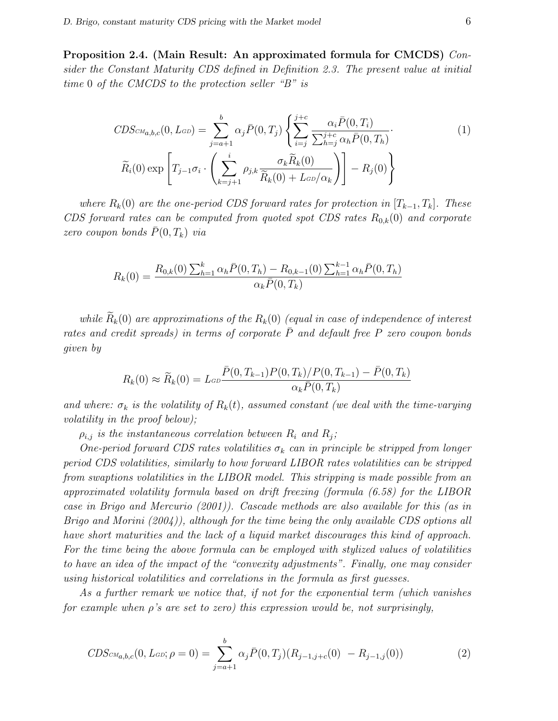Proposition 2.4. (Main Result: An approximated formula for CMCDS) Consider the Constant Maturity CDS defined in Definition 2.3. The present value at initial time 0 of the CMCDS to the protection seller "B" is

$$
CDS_{\text{CM}_{a,b,c}}(0, L_{\text{GD}}) = \sum_{j=a+1}^{b} \alpha_j \bar{P}(0, T_j) \left\{ \sum_{i=j}^{j+c} \frac{\alpha_i \bar{P}(0, T_i)}{\sum_{h=j}^{j+c} \alpha_h \bar{P}(0, T_h)} \right\}
$$
  

$$
\widetilde{R}_i(0) \exp \left[ T_{j-1} \sigma_i \cdot \left( \sum_{k=j+1}^i \rho_{j,k} \frac{\sigma_k \widetilde{R}_k(0)}{\widetilde{R}_k(0) + L_{\text{GD}}/\alpha_k} \right) \right] - R_j(0) \right\}
$$
 (1)

where  $R_k(0)$  are the one-period CDS forward rates for protection in  $[T_{k-1}, T_k]$ . These CDS forward rates can be computed from quoted spot CDS rates  $R_{0,k}(0)$  and corporate zero coupon bonds  $P(0, T_k)$  via

$$
R_k(0) = \frac{R_{0,k}(0) \sum_{h=1}^k \alpha_h \bar{P}(0,T_h) - R_{0,k-1}(0) \sum_{h=1}^{k-1} \alpha_h \bar{P}(0,T_h)}{\alpha_k \bar{P}(0,T_k)}
$$

while  $\widetilde{R}_k(0)$  are approximations of the  $R_k(0)$  (equal in case of independence of interest rates and credit spreads) in terms of corporate  $\overline{P}$  and default free P zero coupon bonds given by

$$
R_k(0) \approx \widetilde{R}_k(0) = L_{GD} \frac{\bar{P}(0, T_{k-1}) P(0, T_k) / P(0, T_{k-1}) - \bar{P}(0, T_k)}{\alpha_k \bar{P}(0, T_k)}
$$

and where:  $\sigma_k$  is the volatility of  $R_k(t)$ , assumed constant (we deal with the time-varying volatility in the proof below);

 $\rho_{i,j}$  is the instantaneous correlation between  $R_i$  and  $R_j$ ;

One-period forward CDS rates volatilities  $\sigma_k$  can in principle be stripped from longer period CDS volatilities, similarly to how forward LIBOR rates volatilities can be stripped from swaptions volatilities in the LIBOR model. This stripping is made possible from an approximated volatility formula based on drift freezing (formula (6.58) for the LIBOR case in Brigo and Mercurio (2001)). Cascade methods are also available for this (as in Brigo and Morini (2004)), although for the time being the only available CDS options all have short maturities and the lack of a liquid market discourages this kind of approach. For the time being the above formula can be employed with stylized values of volatilities to have an idea of the impact of the "convexity adjustments". Finally, one may consider using historical volatilities and correlations in the formula as first guesses.

As a further remark we notice that, if not for the exponential term (which vanishes for example when  $\rho$ 's are set to zero) this expression would be, not surprisingly,

$$
CDS_{\text{CM}_{a,b,c}}(0, L_{\text{GD}}; \rho = 0) = \sum_{j=a+1}^{b} \alpha_j \bar{P}(0, T_j)(R_{j-1,j+c}(0) - R_{j-1,j}(0)) \tag{2}
$$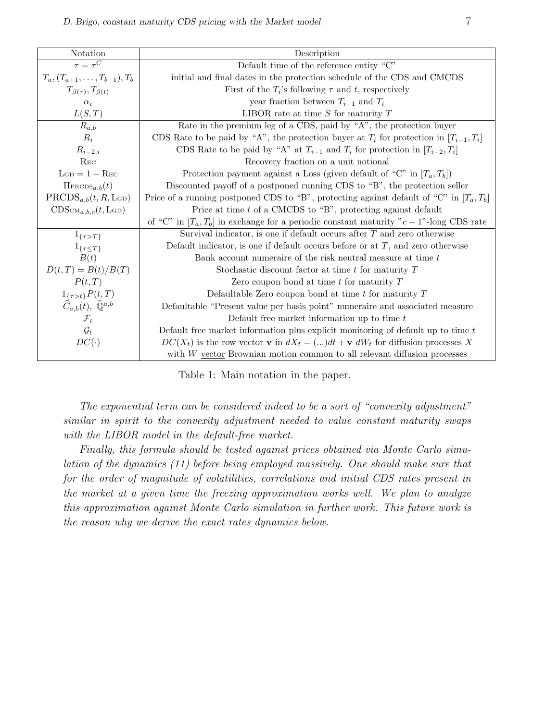| Notation                                                                                                       | Description                                                                                       |  |  |  |  |
|----------------------------------------------------------------------------------------------------------------|---------------------------------------------------------------------------------------------------|--|--|--|--|
| $\tau = \tau^C$                                                                                                | Default time of the reference entity "C"                                                          |  |  |  |  |
| $T_a, (T_{a+1}, \ldots, T_{b-1}), T_b$                                                                         | initial and final dates in the protection schedule of the CDS and CMCDS                           |  |  |  |  |
| $T_{\beta(\tau)}, T_{\beta(t)}$                                                                                | First of the $T_i$ 's following $\tau$ and t, respectively                                        |  |  |  |  |
| $\alpha_i$                                                                                                     | year fraction between $T_{i-1}$ and $T_i$                                                         |  |  |  |  |
| L(S,T)                                                                                                         | LIBOR rate at time $S$ for maturity $T$                                                           |  |  |  |  |
| $R_{a,b}$                                                                                                      | Rate in the premium leg of a CDS, paid by "A", the protection buyer                               |  |  |  |  |
| $R_i$                                                                                                          | CDS Rate to be paid by "A", the protection buyer at $T_i$ for protection in $[T_{i-1}, T_i]$      |  |  |  |  |
| $R_{i-2,i}$                                                                                                    | CDS Rate to be paid by "A" at $T_{i-1}$ and $T_i$ for protection in $[T_{i-2}, T_i]$              |  |  |  |  |
| $R_{EC}$                                                                                                       | Recovery fraction on a unit notional                                                              |  |  |  |  |
| $LGD = 1 - Rec$                                                                                                | Protection payment against a Loss (given default of "C" in $[T_a, T_b]$ )                         |  |  |  |  |
| $\Pi_{\text{PRODS}_{a,b}}(t)$                                                                                  | Discounted payoff of a postponed running CDS to "B", the protection seller                        |  |  |  |  |
| $\text{PRCDS}_{a,b}(t, R, \text{LGD})$                                                                         | Price of a running postponed CDS to "B", protecting against default of "C" in $[T_a, T_b]$ "      |  |  |  |  |
| $CDScm_{a,b,c}(t,LGD)$                                                                                         | Price at time $t$ of a CMCDS to "B", protecting against default                                   |  |  |  |  |
|                                                                                                                | of "C" in $[T_a, T_b]$ in exchange for a periodic constant maturity "c + 1"-long CDS rate         |  |  |  |  |
| $1_{\{\tau>T\}}$                                                                                               | Survival indicator, is one if default occurs after $T$ and zero otherwise                         |  |  |  |  |
| $1_{\{\tau\leq T\}}$                                                                                           | Default indicator, is one if default occurs before or at $T$ , and zero otherwise                 |  |  |  |  |
| B(t)                                                                                                           | Bank account numeraire of the risk neutral measure at time t                                      |  |  |  |  |
| $D(t,T) = B(t)/B(T)$                                                                                           | Stochastic discount factor at time $t$ for maturity $T$                                           |  |  |  |  |
| P(t,T)                                                                                                         | Zero coupon bond at time $t$ for maturity $T$                                                     |  |  |  |  |
|                                                                                                                | Defaultable Zero coupon bond at time $t$ for maturity $T$                                         |  |  |  |  |
| $\begin{array}{c} 1_{\{\tau>t\}}\bar{P}(t,T) \\ \widehat{C}_{a,b}(t),\ \widehat{\mathbb{Q}}^{a,b} \end{array}$ | Defaultable "Present value per basis point" numeraire and associated measure                      |  |  |  |  |
| $\mathcal{F}_t$                                                                                                | Default free market information up to time $t$                                                    |  |  |  |  |
| $\mathcal{G}_t$                                                                                                | Default free market information plus explicit monitoring of default up to time $t$                |  |  |  |  |
| $DC(\cdot)$                                                                                                    | $DC(X_t)$ is the row vector <b>v</b> in $dX_t = (]dt + \mathbf{v} dW_t$ for diffusion processes X |  |  |  |  |
|                                                                                                                | with W vector Brownian motion common to all relevant diffusion processes                          |  |  |  |  |

Table 1: Main notation in the paper.

The exponential term can be considered indeed to be a sort of "convexity adjustment" similar in spirit to the convexity adjustment needed to value constant maturity swaps with the LIBOR model in the default-free market.

Finally, this formula should be tested against prices obtained via Monte Carlo simulation of the dynamics (11) before being employed massively. One should make sure that for the order of magnitude of volatilities, correlations and initial CDS rates present in the market at a given time the freezing approximation works well. We plan to analyze this approximation against Monte Carlo simulation in further work. This future work is the reason why we derive the exact rates dynamics below.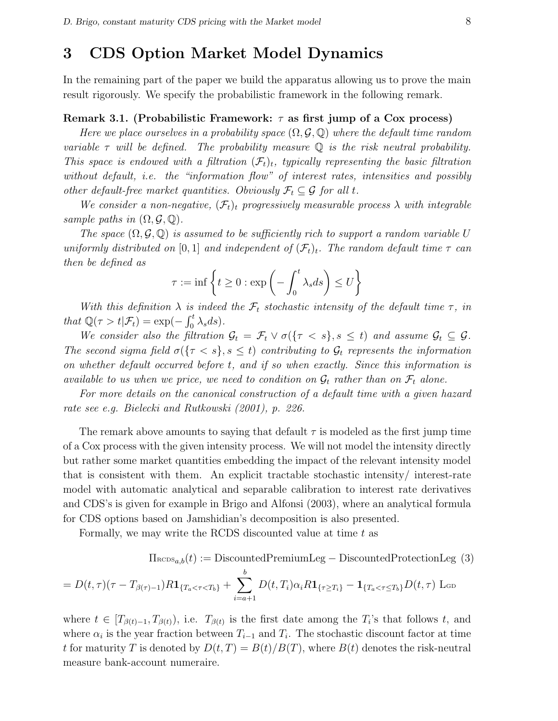### 3 CDS Option Market Model Dynamics

In the remaining part of the paper we build the apparatus allowing us to prove the main result rigorously. We specify the probabilistic framework in the following remark.

#### Remark 3.1. (Probabilistic Framework:  $\tau$  as first jump of a Cox process)

Here we place ourselves in a probability space  $(\Omega, \mathcal{G}, \mathbb{Q})$  where the default time random variable  $\tau$  will be defined. The probability measure  $\mathbb Q$  is the risk neutral probability. This space is endowed with a filtration  $(\mathcal{F}_t)_t$ , typically representing the basic filtration without default, *i.e.* the "information flow" of interest rates, intensities and possibly other default-free market quantities. Obviously  $\mathcal{F}_t \subseteq \mathcal{G}$  for all t.

We consider a non-negative,  $(\mathcal{F}_t)_t$  progressively measurable process  $\lambda$  with integrable sample paths in  $(\Omega, \mathcal{G}, \mathbb{Q})$ .

The space  $(\Omega, \mathcal{G}, \mathbb{Q})$  is assumed to be sufficiently rich to support a random variable U uniformly distributed on [0, 1] and independent of  $(\mathcal{F}_t)_t$ . The random default time  $\tau$  can then be defined as  $\mathbf{A}^{\dagger}$ 

$$
\tau := \inf \left\{ t \ge 0 : \exp \left( - \int_0^t \lambda_s ds \right) \le U \right\}
$$

With this definition  $\lambda$  is indeed the  $\mathcal{F}_t$  stochastic intensity of the default time  $\tau$ , in that  $\mathbb{Q}(\tau > t | \mathcal{F}_t) = \exp(-t)$  $\frac{1}{\rho}$  $\int_0^t \lambda_s ds$ .

We consider also the filtration  $\mathcal{G}_t = \mathcal{F}_t \vee \sigma({\{\tau < s\}}, s \leq t)$  and assume  $\mathcal{G}_t \subseteq \mathcal{G}$ . The second sigma field  $\sigma(\{\tau \leq s\}, s \leq t)$  contributing to  $\mathcal{G}_t$  represents the information on whether default occurred before t, and if so when exactly. Since this information is available to us when we price, we need to condition on  $\mathcal{G}_t$  rather than on  $\mathcal{F}_t$  alone.

For more details on the canonical construction of a default time with a given hazard rate see e.g. Bielecki and Rutkowski (2001), p. 226.

The remark above amounts to saying that default  $\tau$  is modeled as the first jump time of a Cox process with the given intensity process. We will not model the intensity directly but rather some market quantities embedding the impact of the relevant intensity model that is consistent with them. An explicit tractable stochastic intensity/ interest-rate model with automatic analytical and separable calibration to interest rate derivatives and CDS's is given for example in Brigo and Alfonsi (2003), where an analytical formula for CDS options based on Jamshidian's decomposition is also presented.

Formally, we may write the RCDS discounted value at time  $t$  as

$$
\Pi_{\text{RCDS}_{a,b}}(t) := \text{DiscountedPremiumLeg} - \text{DiscountedProtectionLeg (3)}
$$
\n
$$
= D(t,\tau)(\tau - T_{\beta(\tau)-1})R\mathbf{1}_{\{T_a < \tau < T_b\}} + \sum_{i=a+1}^{b} D(t,T_i)\alpha_i R\mathbf{1}_{\{\tau \geq T_i\}} - \mathbf{1}_{\{T_a < \tau \leq T_b\}} D(t,\tau) \text{ Lop}
$$

where  $t \in [T_{\beta(t)-1}, T_{\beta(t)})$ , i.e.  $T_{\beta(t)}$  is the first date among the  $T_i$ 's that follows t, and where  $\alpha_i$  is the year fraction between  $T_{i-1}$  and  $T_i$ . The stochastic discount factor at time t for maturity T is denoted by  $D(t,T) = B(t)/B(T)$ , where  $B(t)$  denotes the risk-neutral measure bank-account numeraire.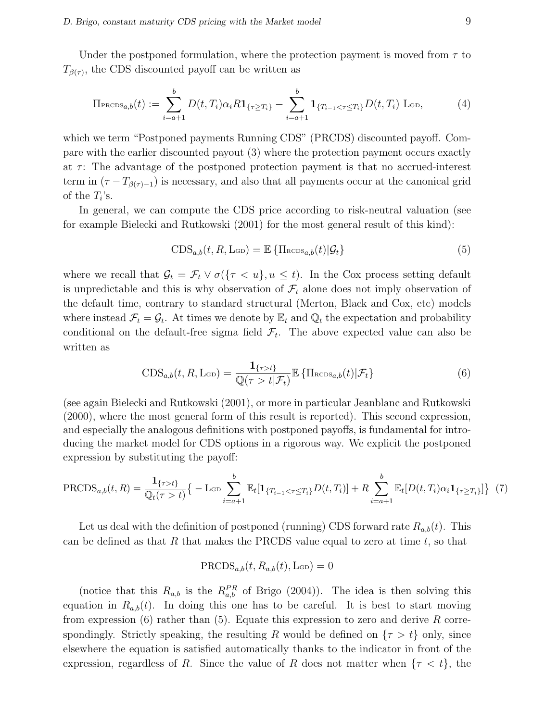Under the postponed formulation, where the protection payment is moved from  $\tau$  to  $T_{\beta(\tau)}$ , the CDS discounted payoff can be written as

$$
\Pi_{\text{PROS}_{a,b}}(t) := \sum_{i=a+1}^{b} D(t, T_i) \alpha_i R \mathbf{1}_{\{\tau \ge T_i\}} - \sum_{i=a+1}^{b} \mathbf{1}_{\{T_{i-1} < \tau \le T_i\}} D(t, T_i) \text{L}_{\text{GD}},\tag{4}
$$

which we term "Postponed payments Running CDS" (PRCDS) discounted payoff. Compare with the earlier discounted payout (3) where the protection payment occurs exactly at  $\tau$ : The advantage of the postponed protection payment is that no accrued-interest term in  $(\tau - T_{\beta(\tau)-1})$  is necessary, and also that all payments occur at the canonical grid of the  $T_i$ 's.

In general, we can compute the CDS price according to risk-neutral valuation (see for example Bielecki and Rutkowski (2001) for the most general result of this kind):

$$
CDS_{a,b}(t, R, \text{L}_{GD}) = \mathbb{E} \left\{ \prod_{\text{RCDS}_{a,b}}(t) | \mathcal{G}_t \right\} \tag{5}
$$

where we recall that  $\mathcal{G}_t = \mathcal{F}_t \vee \sigma({\tau < u}, u \leq t)$ . In the Cox process setting default is unpredictable and this is why observation of  $\mathcal{F}_t$  alone does not imply observation of the default time, contrary to standard structural (Merton, Black and Cox, etc) models where instead  $\mathcal{F}_t = \mathcal{G}_t$ . At times we denote by  $\mathbb{E}_t$  and  $\mathbb{Q}_t$  the expectation and probability conditional on the default-free sigma field  $\mathcal{F}_t$ . The above expected value can also be written as

$$
\text{CDS}_{a,b}(t, R, \text{Lop}) = \frac{\mathbf{1}_{\{\tau > t\}}}{\mathbb{Q}(\tau > t | \mathcal{F}_t)} \mathbb{E} \left\{ \text{I}_{{\text{RCDS}}_{a,b}}(t) | \mathcal{F}_t \right\}
$$
(6)

(see again Bielecki and Rutkowski (2001), or more in particular Jeanblanc and Rutkowski (2000), where the most general form of this result is reported). This second expression, and especially the analogous definitions with postponed payoffs, is fundamental for introducing the market model for CDS options in a rigorous way. We explicit the postponed expression by substituting the payoff:

$$
\text{PRCDS}_{a,b}(t,R) = \frac{\mathbf{1}_{\{\tau > t\}}}{\mathbb{Q}_t(\tau > t)} \left\{ -\text{Lop} \sum_{i=a+1}^b \mathbb{E}_t[\mathbf{1}_{\{T_{i-1} < \tau \le T_i\}} D(t,T_i)] + R \sum_{i=a+1}^b \mathbb{E}_t[D(t,T_i)\alpha_i \mathbf{1}_{\{\tau \ge T_i\}}] \right\} \tag{7}
$$

Let us deal with the definition of postponed (running) CDS forward rate  $R_{a,b}(t)$ . This can be defined as that  $R$  that makes the PRCDS value equal to zero at time  $t$ , so that

$$
\mathrm{PRCDS}_{a,b}(t, R_{a,b}(t), \mathrm{L}_{\mathrm{GD}}) = 0
$$

(notice that this  $R_{a,b}$  is the  $R_{a,b}^{PR}$  of Brigo (2004)). The idea is then solving this equation in  $R_{a,b}(t)$ . In doing this one has to be careful. It is best to start moving from expression  $(6)$  rather than  $(5)$ . Equate this expression to zero and derive R correspondingly. Strictly speaking, the resulting R would be defined on  $\{\tau > t\}$  only, since elsewhere the equation is satisfied automatically thanks to the indicator in front of the expression, regardless of R. Since the value of R does not matter when  $\{\tau < t\}$ , the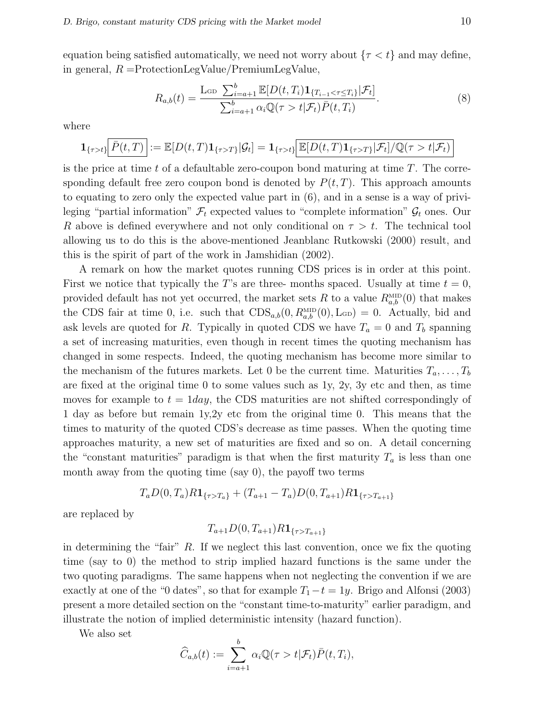equation being satisfied automatically, we need not worry about  $\{\tau < t\}$  and may define, in general,  $R =$ ProtectionLegValue/PremiumLegValue,

$$
R_{a,b}(t) = \frac{\text{L}_{\text{GD}}\sum_{i=a+1}^{b} \mathbb{E}[D(t,T_i)\mathbf{1}_{\{T_{i-1}\leq \tau \leq T_i\}}|\mathcal{F}_t]}{\sum_{i=a+1}^{b} \alpha_i \mathbb{Q}(\tau > t|\mathcal{F}_t)\bar{P}(t,T_i)}.
$$
(8)

where

$$
\mathbf{1}_{\{\tau>t\}}\Big[\overline{P}(t,T)\Big] := \mathbb{E}[D(t,T)\mathbf{1}_{\{\tau>T\}}|\mathcal{G}_t] = \mathbf{1}_{\{\tau>t\}}\Big[\mathbb{E}[D(t,T)\mathbf{1}_{\{\tau>T\}}|\mathcal{F}_t]/\mathbb{Q}(\tau>t|\mathcal{F}_t)\Big]
$$

is the price at time t of a defaultable zero-coupon bond maturing at time  $T$ . The corresponding default free zero coupon bond is denoted by  $P(t, T)$ . This approach amounts to equating to zero only the expected value part in (6), and in a sense is a way of privileging "partial information"  $\mathcal{F}_t$  expected values to "complete information"  $\mathcal{G}_t$  ones. Our R above is defined everywhere and not only conditional on  $\tau > t$ . The technical tool allowing us to do this is the above-mentioned Jeanblanc Rutkowski (2000) result, and this is the spirit of part of the work in Jamshidian (2002).

A remark on how the market quotes running CDS prices is in order at this point. First we notice that typically the T's are three- months spaced. Usually at time  $t = 0$ , provided default has not yet occurred, the market sets R to a value  $R_{a,b}^{\text{MD}}(0)$  that makes the CDS fair at time 0, i.e. such that  $CDS_{a,b}(0, R_{a,b}^{\text{MID}}(0), L_{GD}) = 0$ . Actually, bid and ask levels are quoted for R. Typically in quoted CDS we have  $T_a = 0$  and  $T_b$  spanning a set of increasing maturities, even though in recent times the quoting mechanism has changed in some respects. Indeed, the quoting mechanism has become more similar to the mechanism of the futures markets. Let 0 be the current time. Maturities  $T_a, \ldots, T_b$ are fixed at the original time 0 to some values such as 1y, 2y, 3y etc and then, as time moves for example to  $t = 1$  day, the CDS maturities are not shifted correspondingly of 1 day as before but remain 1y,2y etc from the original time 0. This means that the times to maturity of the quoted CDS's decrease as time passes. When the quoting time approaches maturity, a new set of maturities are fixed and so on. A detail concerning the "constant maturities" paradigm is that when the first maturity  $T_a$  is less than one month away from the quoting time (say 0), the payoff two terms

$$
T_a D(0, T_a) R \mathbf{1}_{\{\tau > T_a\}} + (T_{a+1} - T_a) D(0, T_{a+1}) R \mathbf{1}_{\{\tau > T_{a+1}\}}
$$

are replaced by

$$
T_{a+1}D(0, T_{a+1})R\mathbf{1}_{\{\tau>T_{a+1}\}}
$$

in determining the "fair"  $R$ . If we neglect this last convention, once we fix the quoting time (say to 0) the method to strip implied hazard functions is the same under the two quoting paradigms. The same happens when not neglecting the convention if we are exactly at one of the "0 dates", so that for example  $T_1-t=1y$ . Brigo and Alfonsi (2003) present a more detailed section on the "constant time-to-maturity" earlier paradigm, and illustrate the notion of implied deterministic intensity (hazard function).

We also set

$$
\widehat{C}_{a,b}(t) := \sum_{i=a+1}^{b} \alpha_i \mathbb{Q}(\tau > t | \mathcal{F}_t) \overline{P}(t, T_i),
$$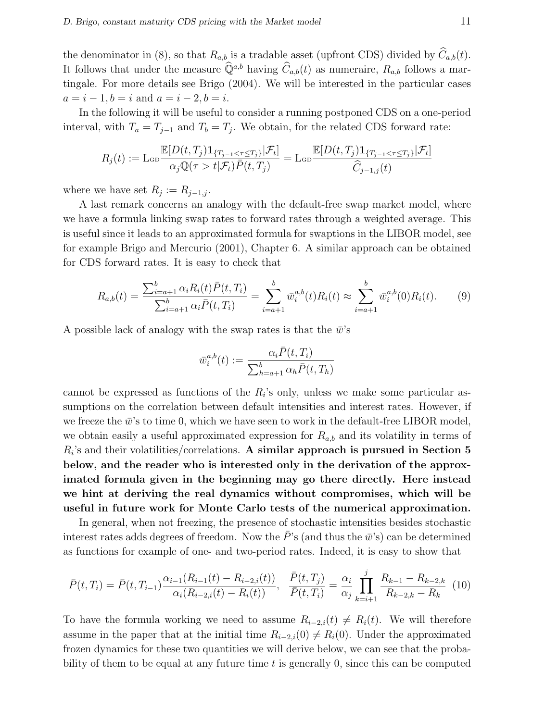the denominator in (8), so that  $R_{a,b}$  is a tradable asset (upfront CDS) divided by  $\widehat{C}_{a,b}(t)$ . It follows that under the measure  $\widehat{Q}^{a,b}$  having  $\widehat{C}_{a,b}(t)$  as numeraire,  $R_{a,b}$  follows a martingale. For more details see Brigo (2004). We will be interested in the particular cases  $a = i - 1, b = i$  and  $a = i - 2, b = i$ .

In the following it will be useful to consider a running postponed CDS on a one-period interval, with  $T_a = T_{j-1}$  and  $T_b = T_j$ . We obtain, for the related CDS forward rate:

$$
R_j(t) := \text{Lop}\frac{\mathbb{E}[D(t,T_j)\mathbf{1}_{\{T_{j-1}\leq \tau\leq T_j\}}|\mathcal{F}_t]}{\alpha_j \mathbb{Q}(\tau > t|\mathcal{F}_t)\bar{P}(t,T_j)} = \text{Lop}\frac{\mathbb{E}[D(t,T_j)\mathbf{1}_{\{T_{j-1}\leq \tau\leq T_j\}}|\mathcal{F}_t]}{\widehat{C}_{j-1,j}(t)}
$$

where we have set  $R_j := R_{j-1,j}$ .

A last remark concerns an analogy with the default-free swap market model, where we have a formula linking swap rates to forward rates through a weighted average. This is useful since it leads to an approximated formula for swaptions in the LIBOR model, see for example Brigo and Mercurio (2001), Chapter 6. A similar approach can be obtained for CDS forward rates. It is easy to check that

$$
R_{a,b}(t) = \frac{\sum_{i=a+1}^{b} \alpha_i R_i(t) \bar{P}(t, T_i)}{\sum_{i=a+1}^{b} \alpha_i \bar{P}(t, T_i)} = \sum_{i=a+1}^{b} \bar{w}_i^{a,b}(t) R_i(t) \approx \sum_{i=a+1}^{b} \bar{w}_i^{a,b}(0) R_i(t).
$$
 (9)

A possible lack of analogy with the swap rates is that the  $\bar{w}$ 's

$$
\bar{w}_i^{a,b}(t) := \frac{\alpha_i \bar{P}(t, T_i)}{\sum_{h=a+1}^b \alpha_h \bar{P}(t, T_h)}
$$

cannot be expressed as functions of the  $R_i$ 's only, unless we make some particular assumptions on the correlation between default intensities and interest rates. However, if we freeze the  $\bar{w}$ 's to time 0, which we have seen to work in the default-free LIBOR model, we obtain easily a useful approximated expression for  $R_{a,b}$  and its volatility in terms of  $R_i$ 's and their volatilities/correlations. A similar approach is pursued in Section 5 below, and the reader who is interested only in the derivation of the approximated formula given in the beginning may go there directly. Here instead we hint at deriving the real dynamics without compromises, which will be useful in future work for Monte Carlo tests of the numerical approximation.

In general, when not freezing, the presence of stochastic intensities besides stochastic interest rates adds degrees of freedom. Now the  $\bar{P}$ 's (and thus the  $\bar{w}$ 's) can be determined as functions for example of one- and two-period rates. Indeed, it is easy to show that

$$
\bar{P}(t,T_i) = \bar{P}(t,T_{i-1}) \frac{\alpha_{i-1}(R_{i-1}(t) - R_{i-2,i}(t))}{\alpha_i(R_{i-2,i}(t) - R_i(t))}, \quad \frac{\bar{P}(t,T_j)}{\bar{P}(t,T_i)} = \frac{\alpha_i}{\alpha_j} \prod_{k=i+1}^j \frac{R_{k-1} - R_{k-2,k}}{R_{k-2,k} - R_k} (10)
$$

To have the formula working we need to assume  $R_{i-2,i}(t) \neq R_i(t)$ . We will therefore assume in the paper that at the initial time  $R_{i-2,i}(0) \neq R_i(0)$ . Under the approximated frozen dynamics for these two quantities we will derive below, we can see that the probability of them to be equal at any future time  $t$  is generally  $0$ , since this can be computed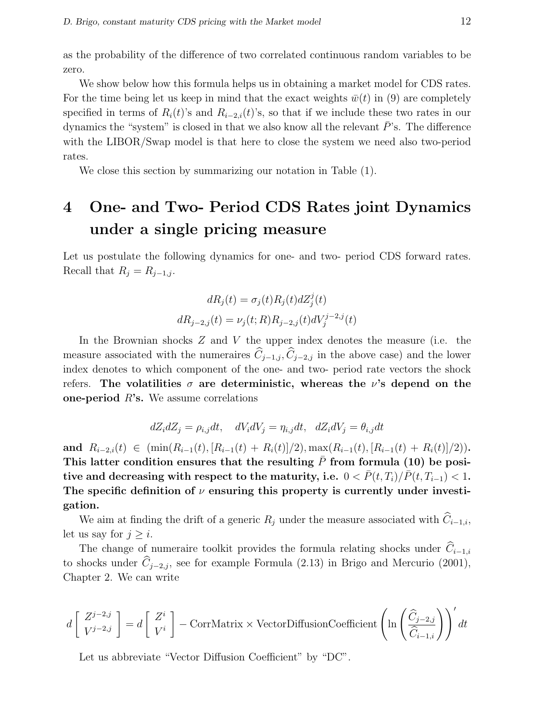as the probability of the difference of two correlated continuous random variables to be zero.

We show below how this formula helps us in obtaining a market model for CDS rates. For the time being let us keep in mind that the exact weights  $\bar{w}(t)$  in (9) are completely specified in terms of  $R_i(t)$ 's and  $R_{i-2,i}(t)$ 's, so that if we include these two rates in our dynamics the "system" is closed in that we also know all the relevant  $\bar{P}$ 's. The difference with the LIBOR/Swap model is that here to close the system we need also two-period rates.

We close this section by summarizing our notation in Table (1).

## 4 One- and Two- Period CDS Rates joint Dynamics under a single pricing measure

Let us postulate the following dynamics for one- and two- period CDS forward rates. Recall that  $R_j = R_{j-1,j}$ .

$$
dR_j(t) = \sigma_j(t)R_j(t)dZ_j^j(t)
$$
  

$$
dR_{j-2,j}(t) = \nu_j(t;R)R_{j-2,j}(t)dV_j^{j-2,j}(t)
$$

In the Brownian shocks  $Z$  and  $V$  the upper index denotes the measure (i.e. the measure associated with the numeraires  $\hat{C}_{j-1,j}, \hat{C}_{j-2,j}$  in the above case) and the lower index denotes to which component of the one- and two- period rate vectors the shock refers. The volatilities  $\sigma$  are deterministic, whereas the  $\nu$ 's depend on the one-period  $R$ 's. We assume correlations

$$
dZ_i dZ_j = \rho_{i,j} dt, \quad dV_i dV_j = \eta_{i,j} dt, \quad dZ_i dV_j = \theta_{i,j} dt
$$

and  $R_{i-2,i}(t) \in (\min(R_{i-1}(t), [R_{i-1}(t) + R_i(t)]/2), \max(R_{i-1}(t), [R_{i-1}(t) + R_i(t)]/2)).$ This latter condition ensures that the resulting  $P$  from formula (10) be positive and decreasing with respect to the maturity, i.e.  $0 < \overline{P}(t, T_i)/\overline{P}(t, T_{i-1}) < 1$ . The specific definition of  $\nu$  ensuring this property is currently under investigation.

We aim at finding the drift of a generic  $R_j$  under the measure associated with  $\widehat{C}_{i-1,i}$ , let us say for  $j \geq i$ .

The change of numeraire toolkit provides the formula relating shocks under  $\hat{C}_{i-1,i}$ to shocks under  $\hat{C}_{j-2,j}$ , see for example Formula (2.13) in Brigo and Mercurio (2001), Chapter 2. We can write

$$
d\left[\begin{array}{c} Z^{j-2,j} \\ V^{j-2,j} \end{array}\right] = d\left[\begin{array}{c} Z^i \\ V^i \end{array}\right] - \text{CorrMatrix} \times \text{VectorDiffusionCoefficient}\left(\ln\left(\frac{\widehat{C}_{j-2,j}}{\widehat{C}_{i-1,i}}\right)\right)' dt
$$

Let us abbreviate "Vector Diffusion Coefficient" by "DC".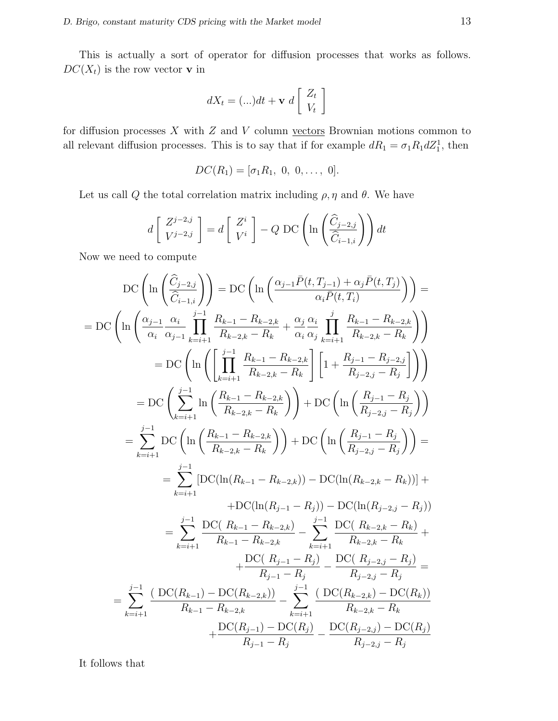This is actually a sort of operator for diffusion processes that works as follows.  $DC(X_t)$  is the row vector **v** in

$$
dX_t = (\ldots)dt + \mathbf{v} \ d\left[\begin{array}{c} Z_t \\ V_t \end{array}\right]
$$

for diffusion processes  $X$  with  $Z$  and  $V$  column vectors Brownian motions common to all relevant diffusion processes. This is to say that if for example  $dR_1 = \sigma_1 R_1 dZ_1^1$ , then

$$
DC(R_1) = [\sigma_1 R_1, 0, 0, \ldots, 0].
$$

Let us call Q the total correlation matrix including  $\rho$ ,  $\eta$  and  $\theta$ . We have

$$
d\left[\begin{array}{c} Z^{j-2,j} \\ V^{j-2,j} \end{array}\right] = d\left[\begin{array}{c} Z^i \\ V^i \end{array}\right] - Q \text{ DC}\left(\ln\left(\frac{\widehat{C}_{j-2,j}}{\widehat{C}_{i-1,i}}\right)\right) dt
$$

Now we need to compute

$$
DC\left(\ln\left(\frac{\hat{C}_{j-2,j}}{\hat{C}_{i-1,i}}\right)\right) = DC\left(\ln\left(\frac{\alpha_{j-1}\bar{P}(t,T_{j-1}) + \alpha_{j}\bar{P}(t,T_{j})}{\alpha_{i}\bar{P}(t,T_{i})}\right)\right) =
$$
\n
$$
= DC\left(\ln\left(\frac{\alpha_{j-1}}{\alpha_{i}}\frac{\alpha_{i}}{\alpha_{j-1}}\prod_{k=i+1}^{j-1}\frac{R_{k-1}-R_{k-2,k}}{R_{k-2,k}-R_{k}}+\frac{\alpha_{j}}{\alpha_{i}}\frac{\alpha_{i}}{\alpha_{j}}\prod_{k=i+1}^{j}\frac{R_{k-1}-R_{k-2,k}}{R_{k-2,k}-R_{k}}\right)\right)
$$
\n
$$
= DC\left(\ln\left(\prod_{k=i+1}^{j-1}\frac{R_{k-1}-R_{k-2,k}}{R_{k-2,k}-R_{k}}\right)\left[1+\frac{R_{j-1}-R_{j-2,j}}{R_{j-2,j}-R_{j}}\right]\right)
$$
\n
$$
= DC\left(\sum_{k=i+1}^{j-1}\ln\left(\frac{R_{k-1}-R_{k-2,k}}{R_{k-2,k}-R_{k}}\right)\right) + DC\left(\ln\left(\frac{R_{j-1}-R_{j}}{R_{j-2,j}-R_{j}}\right)\right)
$$
\n
$$
= \sum_{k=i+1}^{j-1} DC\left(\ln\left(\frac{R_{k-1}-R_{k-2,k}}{R_{k-2,k}-R_{k}}\right)\right) + DC\left(\ln\left(\frac{R_{j-1}-R_{j}}{R_{j-2,j}-R_{j}}\right)\right) =
$$
\n
$$
= \sum_{k=i+1}^{j-1} [DC(\ln(R_{k-1}-R_{k-2,k})) - DC(\ln(R_{k-2,k}-R_{k}))] +
$$
\n
$$
+ DC(\ln(R_{j-1}-R_{j})) - DC(\ln(R_{j-2,j}-R_{j}))
$$
\n
$$
= \sum_{k=i+1}^{j-1} \frac{DC(R_{k-1}-R_{k-2,k})}{R_{k-1}-R_{k-2,k}} - \sum_{k=i+1}^{j-1} \frac{DC(R_{k-2,k}-R_{k})}{R_{k-2,k}-R_{k}} +
$$
\n
$$
+ \frac{DC(R
$$

It follows that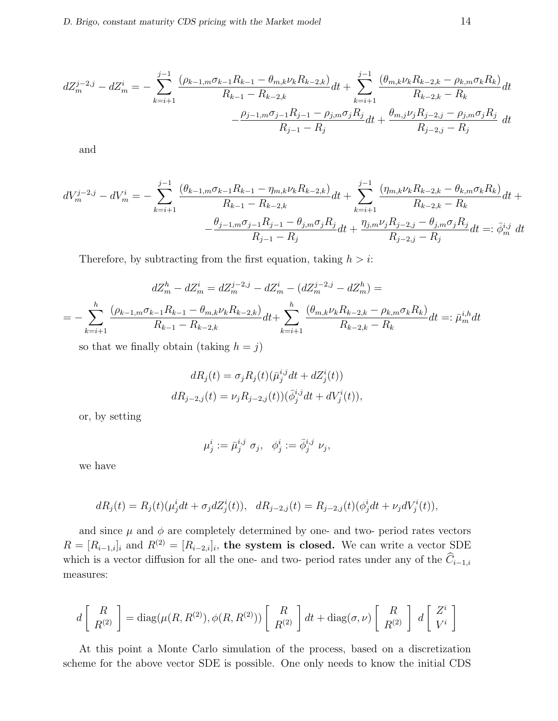$$
dZ_m^{j-2,j} - dZ_m^i = -\sum_{k=i+1}^{j-1} \frac{(\rho_{k-1,m}\sigma_{k-1}R_{k-1} - \theta_{m,k}\nu_kR_{k-2,k})}{R_{k-1} - R_{k-2,k}}dt + \sum_{k=i+1}^{j-1} \frac{(\theta_{m,k}\nu_kR_{k-2,k} - \rho_{k,m}\sigma_kR_k)}{R_{k-2,k} - R_k}dt
$$

$$
-\frac{\rho_{j-1,m}\sigma_{j-1}R_{j-1} - \rho_{j,m}\sigma_jR_j}{R_{j-1} - R_j}dt + \frac{\theta_{m,j}\nu_jR_{j-2,j} - \rho_{j,m}\sigma_jR_j}{R_{j-2,j} - R_j}dt
$$

and

$$
dV_m^{j-2,j} - dV_m^i = -\sum_{k=i+1}^{j-1} \frac{(\theta_{k-1,m}\sigma_{k-1}R_{k-1} - \eta_{m,k}\nu_kR_{k-2,k})}{R_{k-1} - R_{k-2,k}}dt + \sum_{k=i+1}^{j-1} \frac{(\eta_{m,k}\nu_kR_{k-2,k} - \theta_{k,m}\sigma_kR_k)}{R_{k-2,k} - R_k}dt + \frac{\theta_{j-1,m}\sigma_{j-1}R_{j-1} - \theta_{j,m}\sigma_jR_j}{R_{j-1} - R_j}dt + \frac{\eta_{j,m}\nu_jR_{j-2,j} - \theta_{j,m}\sigma_jR_j}{R_{j-2,j} - R_j}dt =: \bar{\phi}_m^{i,j} dt
$$

Therefore, by subtracting from the first equation, taking  $h > i$ :

$$
dZ_m^h - dZ_m^i = dZ_m^{j-2,j} - dZ_m^i - (dZ_m^{j-2,j} - dZ_m^h) =
$$
  
= 
$$
-\sum_{k=i+1}^h \frac{(\rho_{k-1,m}\sigma_{k-1}R_{k-1} - \theta_{m,k}\nu_kR_{k-2,k})}{R_{k-1} - R_{k-2,k}}dt + \sum_{k=i+1}^h \frac{(\theta_{m,k}\nu_kR_{k-2,k} - \rho_{k,m}\sigma_kR_k)}{R_{k-2,k} - R_k}dt =: \bar{\mu}_m^{i,h}dt
$$

so that we finally obtain (taking  $h = j$ )

$$
dR_j(t) = \sigma_j R_j(t) (\bar{\mu}_j^{i,j} dt + dZ_j^i(t))
$$
  

$$
dR_{j-2,j}(t) = \nu_j R_{j-2,j}(t) (\bar{\phi}_j^{i,j} dt + dV_j^i(t)),
$$

or, by setting

$$
\mu_j^i := \bar{\mu}_j^{i,j} \sigma_j, \quad \phi_j^i := \bar{\phi}_j^{i,j} \nu_j,
$$

we have

$$
dR_j(t) = R_j(t)(\mu_j^i dt + \sigma_j dZ_j^i(t)), \quad dR_{j-2,j}(t) = R_{j-2,j}(t)(\phi_j^i dt + \nu_j dV_j^i(t)),
$$

and since  $\mu$  and  $\phi$  are completely determined by one- and two- period rates vectors  $R = [R_{i-1,i}]$  and  $R^{(2)} = [R_{i-2,i}]$ , the system is closed. We can write a vector SDE which is a vector diffusion for all the one- and two- period rates under any of the  $\widehat{C}_{i-1,i}$ measures:

$$
d\begin{bmatrix} R \\ R^{(2)} \end{bmatrix} = \text{diag}(\mu(R, R^{(2)}), \phi(R, R^{(2)})) \begin{bmatrix} R \\ R^{(2)} \end{bmatrix} dt + \text{diag}(\sigma, \nu) \begin{bmatrix} R \\ R^{(2)} \end{bmatrix} d\begin{bmatrix} Z^i \\ V^i \end{bmatrix}
$$

At this point a Monte Carlo simulation of the process, based on a discretization scheme for the above vector SDE is possible. One only needs to know the initial CDS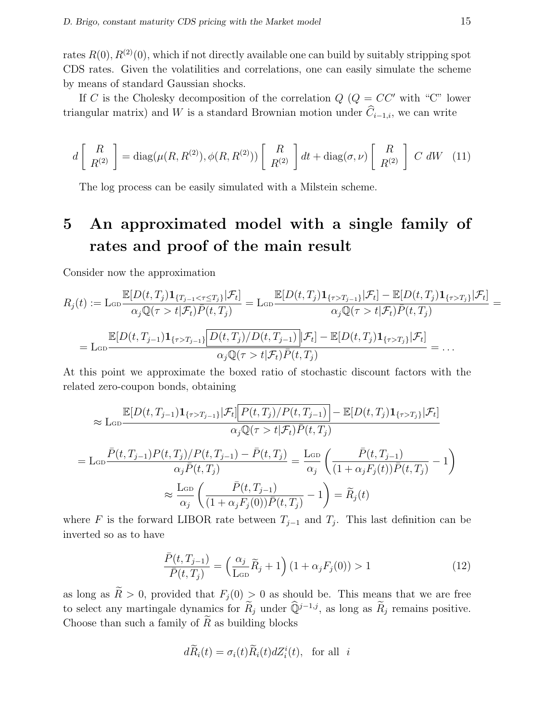rates  $R(0), R^{(2)}(0)$ , which if not directly available one can build by suitably stripping spot CDS rates. Given the volatilities and correlations, one can easily simulate the scheme by means of standard Gaussian shocks.

If C is the Cholesky decomposition of the correlation  $Q$  ( $Q = CC'$  with "C" lower triangular matrix) and W is a standard Brownian motion under  $\widehat{C}_{i-1,i}$ , we can write

$$
d\left[\begin{array}{c}R\\R^{(2)}\end{array}\right] = \text{diag}(\mu(R, R^{(2)}), \phi(R, R^{(2)}))\left[\begin{array}{c}R\\R^{(2)}\end{array}\right]dt + \text{diag}(\sigma, \nu)\left[\begin{array}{c}R\\R^{(2)}\end{array}\right]C dW \quad (11)
$$

The log process can be easily simulated with a Milstein scheme.

# 5 An approximated model with a single family of rates and proof of the main result

Consider now the approximation

$$
R_j(t) := \operatorname{Lop} \frac{\mathbb{E}[D(t, T_j) \mathbf{1}_{\{T_{j-1} < \tau \le T_j\}} | \mathcal{F}_t]}{\alpha_j \mathbb{Q}(\tau > t | \mathcal{F}_t) \bar{P}(t, T_j)} = \operatorname{Lop} \frac{\mathbb{E}[D(t, T_j) \mathbf{1}_{\{\tau > T_{j-1}\}} | \mathcal{F}_t] - \mathbb{E}[D(t, T_j) \mathbf{1}_{\{\tau > T_j\}} | \mathcal{F}_t]}{\alpha_j \mathbb{Q}(\tau > t | \mathcal{F}_t) \bar{P}(t, T_j)} =
$$
\n
$$
= \operatorname{Lop} \frac{\mathbb{E}[D(t, T_{j-1}) \mathbf{1}_{\{\tau > T_{j-1}\}} \bar{D}(t, T_j) / D(t, T_{j-1}) | \mathcal{F}_t] - \mathbb{E}[D(t, T_j) \mathbf{1}_{\{\tau > T_j\}} | \mathcal{F}_t]}{\alpha_j \mathbb{Q}(\tau > t | \mathcal{F}_t) \bar{P}(t, T_j)} = \dots
$$

At this point we approximate the boxed ratio of stochastic discount factors with the related zero-coupon bonds, obtaining

$$
\approx \text{Lop}\frac{\mathbb{E}[D(t, T_{j-1})\mathbf{1}_{\{\tau>T_{j-1}\}}|\mathcal{F}_t]\big[P(t, T_j)/P(t, T_{j-1})\big]-\mathbb{E}[D(t, T_j)\mathbf{1}_{\{\tau>T_j\}}|\mathcal{F}_t]}{\alpha_j\mathbb{Q}(\tau>t|\mathcal{F}_t)\bar{P}(t, T_j)}
$$
\n
$$
= \text{Lop}\frac{\bar{P}(t, T_{j-1})P(t, T_j)/P(t, T_{j-1}) - \bar{P}(t, T_j)}{\alpha_j\bar{P}(t, T_j)} = \frac{\text{Lop}}{\alpha_j}\left(\frac{\bar{P}(t, T_{j-1})}{(1+\alpha_jF_j(t))\bar{P}(t, T_j)} - 1\right)
$$
\n
$$
\approx \frac{\text{Lop}}{\alpha_j}\left(\frac{\bar{P}(t, T_{j-1})}{(1+\alpha_jF_j(0))\bar{P}(t, T_j)} - 1\right) = \widetilde{R}_j(t)
$$

where F is the forward LIBOR rate between  $T_{j-1}$  and  $T_j$ . This last definition can be inverted so as to have

$$
\frac{\bar{P}(t, T_{j-1})}{\bar{P}(t, T_j)} = \left(\frac{\alpha_j}{\text{L}_{\text{GD}}} \tilde{R}_j + 1\right) \left(1 + \alpha_j F_j(0)\right) > 1\tag{12}
$$

as long as  $\widetilde{R} > 0$ , provided that  $F_j(0) > 0$  as should be. This means that we are free to select any martingale dynamics for  $\widetilde{R}_j$  under  $\widehat{Q}^{j-1,j}$ , as long as  $\widetilde{R}_j$  remains positive. Choose than such a family of  $R$  as building blocks

$$
d\widetilde{R}_i(t) = \sigma_i(t)\widetilde{R}_i(t) dZ_i^i(t), \text{ for all } i
$$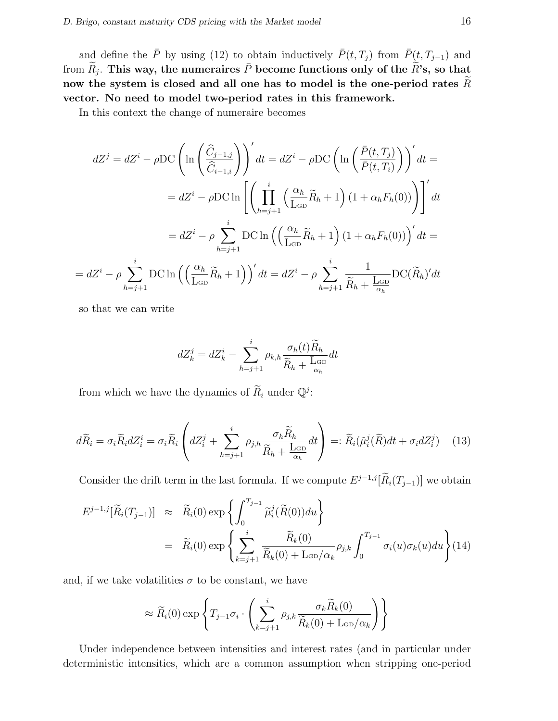and define the  $\bar{P}$  by using (12) to obtain inductively  $\bar{P}(t, T_i)$  from  $\bar{P}(t, T_{i-1})$  and from  $\widetilde{R}_{j}.$  This way, the numeraires  $\bar{P}$  become functions only of the  $\widetilde{R}$ 's, so that now the system is closed and all one has to model is the one-period rates  $R$ vector. No need to model two-period rates in this framework.

In this context the change of numeraire becomes

$$
dZ^{j} = dZ^{i} - \rho \text{DC} \left( \ln \left( \frac{\hat{C}_{j-1,j}}{\hat{C}_{i-1,i}} \right) \right)' dt = dZ^{i} - \rho \text{DC} \left( \ln \left( \frac{\bar{P}(t,T_{j})}{\bar{P}(t,T_{i})} \right) \right)' dt =
$$

$$
= dZ^{i} - \rho \text{DC} \ln \left[ \left( \prod_{h=j+1}^{i} \left( \frac{\alpha_{h}}{\text{L}_{GD}} \tilde{R}_{h} + 1 \right) (1 + \alpha_{h} F_{h}(0)) \right) \right]' dt
$$

$$
= dZ^{i} - \rho \sum_{h=j+1}^{i} \text{DC} \ln \left( \left( \frac{\alpha_{h}}{\text{L}_{GD}} \tilde{R}_{h} + 1 \right) (1 + \alpha_{h} F_{h}(0)) \right)' dt =
$$

$$
= dZ^{i} - \rho \sum_{h=j+1}^{i} \text{DC} \ln \left( \left( \frac{\alpha_{h}}{\text{L}_{GD}} \tilde{R}_{h} + 1 \right) \right)' dt = dZ^{i} - \rho \sum_{h=j+1}^{i} \frac{1}{\tilde{R}_{h} + \frac{\text{L}_{GD}}{\alpha_{h}}} \text{DC} (\tilde{R}_{h})' dt
$$

so that we can write

$$
dZ_k^j = dZ_k^i - \sum_{h=j+1}^i \rho_{k,h} \frac{\sigma_h(t)\widetilde{R}_h}{\widetilde{R}_h + \frac{\mathrm{L}_{\mathrm{GD}}}{\alpha_h}} dt
$$

from which we have the dynamics of  $\widetilde{R}_i$  under  $\mathbb{Q}^j$ :

$$
d\widetilde{R}_i = \sigma_i \widetilde{R}_i dZ_i^i = \sigma_i \widetilde{R}_i \left( dZ_i^j + \sum_{h=j+1}^i \rho_{j,h} \frac{\sigma_h \widetilde{R}_h}{\widetilde{R}_h + \frac{\text{LGD}}{\alpha_h}} dt \right) =: \widetilde{R}_i(\widetilde{\mu}_i^j(\widetilde{R})dt + \sigma_i dZ_i^j) \tag{13}
$$

Consider the drift term in the last formula. If we compute  $E^{j-1,j}[\widetilde{R}_i(T_{j-1})]$  we obtain

$$
E^{j-1,j}[\widetilde{R}_i(T_{j-1})] \approx \widetilde{R}_i(0) \exp\left\{ \int_0^{T_{j-1}} \widetilde{\mu}_i^j(\widetilde{R}(0)) du \right\}
$$
  
=  $\widetilde{R}_i(0) \exp\left\{ \sum_{k=j+1}^i \frac{\widetilde{R}_k(0)}{\widetilde{R}_k(0) + \text{Lop}/\alpha_k} \rho_{j,k} \int_0^{T_{j-1}} \sigma_i(u) \sigma_k(u) du \right\}$ (14)

and, if we take volatilities  $\sigma$  to be constant, we have

$$
\approx \widetilde{R}_i(0) \exp\left\{ T_{j-1} \sigma_i \cdot \left( \sum_{k=j+1}^i \rho_{j,k} \frac{\sigma_k \widetilde{R}_k(0)}{\widetilde{R}_k(0) + \mathrm{Lop}/\alpha_k} \right) \right\}
$$

Under independence between intensities and interest rates (and in particular under deterministic intensities, which are a common assumption when stripping one-period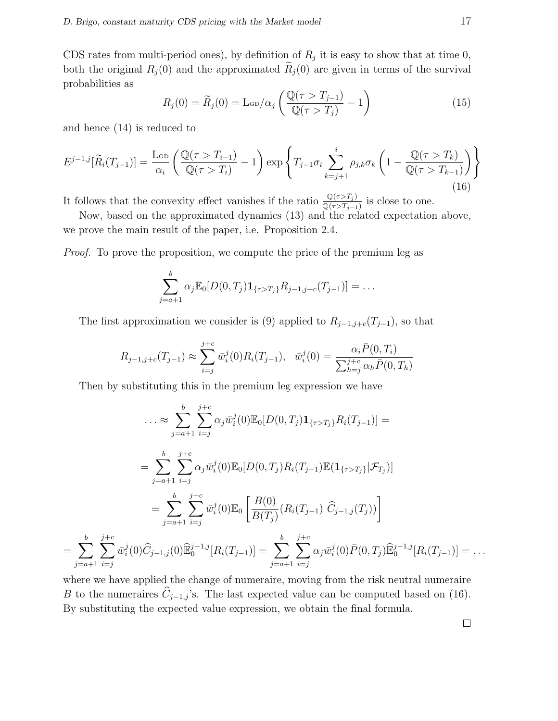CDS rates from multi-period ones), by definition of  $R_j$  it is easy to show that at time 0, both the original  $R_j(0)$  and the approximated  $R_j(0)$  are given in terms of the survival probabilities as  $\overline{a}$  $\mathbf{r}$ 

$$
R_j(0) = \widetilde{R}_j(0) = \text{Lop}/\alpha_j \left( \frac{\mathbb{Q}(\tau > T_{j-1})}{\mathbb{Q}(\tau > T_j)} - 1 \right)
$$
(15)

and hence (14) is reduced to

=

$$
E^{j-1,j}[\widetilde{R}_i(T_{j-1})] = \frac{\text{L}_{\text{GD}}}{\alpha_i} \left( \frac{\mathbb{Q}(\tau > T_{i-1})}{\mathbb{Q}(\tau > T_i)} - 1 \right) \exp\left\{ T_{j-1} \sigma_i \sum_{k=j+1}^i \rho_{j,k} \sigma_k \left( 1 - \frac{\mathbb{Q}(\tau > T_k)}{\mathbb{Q}(\tau > T_{k-1})} \right) \right\}
$$
(16)

It follows that the convexity effect vanishes if the ratio  $\frac{\mathbb{Q}(\tau>T_j)}{\mathbb{Q}(\tau>T_{j-1})}$  is close to one.

Now, based on the approximated dynamics (13) and the related expectation above, we prove the main result of the paper, i.e. Proposition 2.4.

*Proof.* To prove the proposition, we compute the price of the premium leg as

$$
\sum_{j=a+1}^{b} \alpha_j \mathbb{E}_0[D(0,T_j) \mathbf{1}_{\{\tau > T_j\}} R_{j-1,j+c}(T_{j-1})] = \dots
$$

The first approximation we consider is (9) applied to  $R_{j-1,j+c}(T_{j-1})$ , so that

$$
R_{j-1,j+c}(T_{j-1}) \approx \sum_{i=j}^{j+c} \bar{w}_i^j(0) R_i(T_{j-1}), \quad \bar{w}_i^j(0) = \frac{\alpha_i \bar{P}(0,T_i)}{\sum_{h=j}^{j+c} \alpha_h \bar{P}(0,T_h)}
$$

Then by substituting this in the premium leg expression we have

$$
\dots \approx \sum_{j=a+1}^{b} \sum_{i=j}^{j+c} \alpha_j \bar{w}_i^j(0) \mathbb{E}_0[D(0, T_j) \mathbf{1}_{\{\tau > T_j\}} R_i(T_{j-1})] =
$$
\n
$$
= \sum_{j=a+1}^{b} \sum_{i=j}^{j+c} \alpha_j \bar{w}_i^j(0) \mathbb{E}_0[D(0, T_j) R_i(T_{j-1}) \mathbb{E}(\mathbf{1}_{\{\tau > T_j\}} | \mathcal{F}_{T_j})]
$$
\n
$$
= \sum_{j=a+1}^{b} \sum_{i=j}^{j+c} \bar{w}_i^j(0) \mathbb{E}_0\left[\frac{B(0)}{B(T_j)} (R_i(T_{j-1}) \ \hat{C}_{j-1,j}(T_j))\right]
$$
\n
$$
\sum_{j=a+1}^{b} \sum_{i=j}^{j+c} \bar{w}_i^j(0) \widehat{C}_{j-1,j}(0) \widehat{\mathbb{E}}_0^{j-1,j}[R_i(T_{j-1})] = \sum_{j=a+1}^{b} \sum_{i=j}^{j+c} \alpha_j \bar{w}_i^j(0) \bar{P}(0, T_j) \widehat{\mathbb{E}}_0^{j-1,j}[R_i(T_{j-1})] = \dots
$$

where we have applied the change of numeraire, moving from the risk neutral numeraire B to the numeraires  $\hat{C}_{j-1,j}$ 's. The last expected value can be computed based on (16). By substituting the expected value expression, we obtain the final formula.

 $\Box$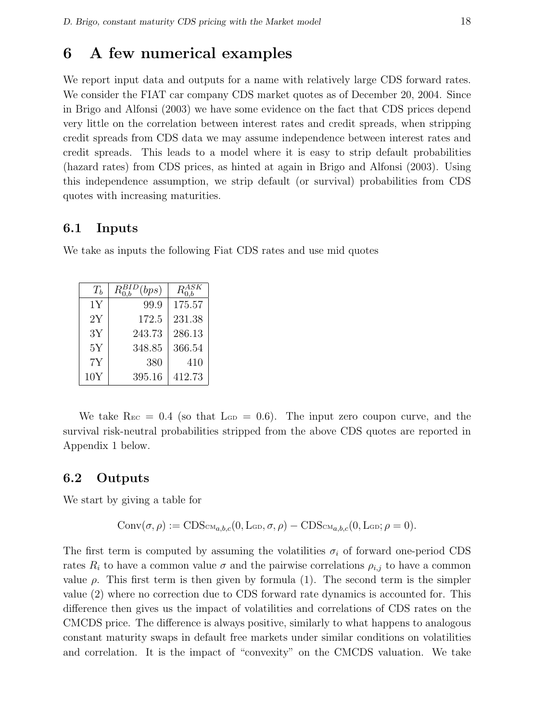### 6 A few numerical examples

We report input data and outputs for a name with relatively large CDS forward rates. We consider the FIAT car company CDS market quotes as of December 20, 2004. Since in Brigo and Alfonsi (2003) we have some evidence on the fact that CDS prices depend very little on the correlation between interest rates and credit spreads, when stripping credit spreads from CDS data we may assume independence between interest rates and credit spreads. This leads to a model where it is easy to strip default probabilities (hazard rates) from CDS prices, as hinted at again in Brigo and Alfonsi (2003). Using this independence assumption, we strip default (or survival) probabilities from CDS quotes with increasing maturities.

#### 6.1 Inputs

We take as inputs the following Fiat CDS rates and use mid quotes

| $T_{b}$ | (bps)  |        |
|---------|--------|--------|
| 1Y      | 99.9   | 175.57 |
| 2Y      | 172.5  | 231.38 |
| 3Y      | 243.73 | 286.13 |
| 5Y      | 348.85 | 366.54 |
| 7Y      | 380    | 410    |
| 10Y     | 395.16 | 412.73 |

We take  $\text{R}_{EC} = 0.4$  (so that  $\text{L}_{GD} = 0.6$ ). The input zero coupon curve, and the survival risk-neutral probabilities stripped from the above CDS quotes are reported in Appendix 1 below.

#### 6.2 Outputs

We start by giving a table for

$$
Conv(\sigma,\rho) := CDS_{CMa,b,c}(0,L_{GD},\sigma,\rho) - CDS_{CMa,b,c}(0,L_{GD};\rho=0).
$$

The first term is computed by assuming the volatilities  $\sigma_i$  of forward one-period CDS rates  $R_i$  to have a common value  $\sigma$  and the pairwise correlations  $\rho_{i,j}$  to have a common value  $\rho$ . This first term is then given by formula (1). The second term is the simpler value (2) where no correction due to CDS forward rate dynamics is accounted for. This difference then gives us the impact of volatilities and correlations of CDS rates on the CMCDS price. The difference is always positive, similarly to what happens to analogous constant maturity swaps in default free markets under similar conditions on volatilities and correlation. It is the impact of "convexity" on the CMCDS valuation. We take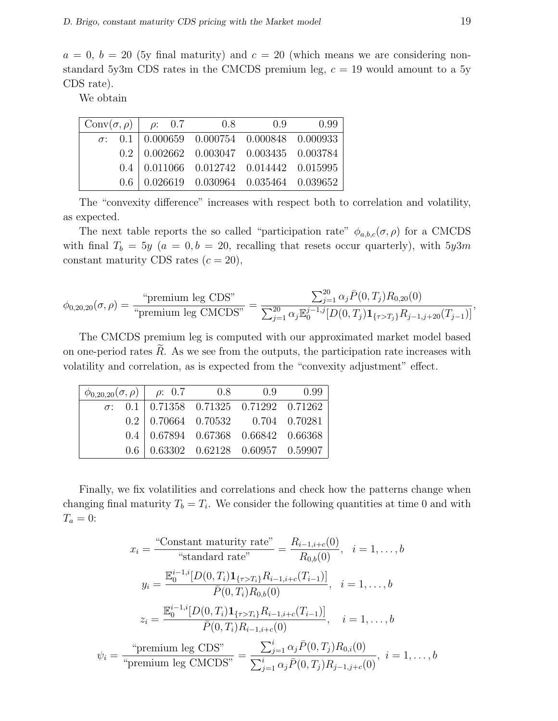$a = 0, b = 20$  (5y final maturity) and  $c = 20$  (which means we are considering nonstandard 5y3m CDS rates in the CMCDS premium leg,  $c = 19$  would amount to a 5y CDS rate).

We obtain

| $Conv(\sigma, \rho)$   $\rho$ : 0.7 |  | 0.8                                                              | 0.9 | 0.99 |
|-------------------------------------|--|------------------------------------------------------------------|-----|------|
|                                     |  | $\sigma$ : 0.1 0.000659 0.000754 0.000848 0.000933               |     |      |
|                                     |  | $0.2$ 0.002662 0.003047 0.003435 0.003784                        |     |      |
|                                     |  | $0.4 \mid 0.011066 \quad 0.012742 \quad 0.014442 \quad 0.015995$ |     |      |
|                                     |  | $0.6 \mid 0.026619 \quad 0.030964 \quad 0.035464 \quad 0.039652$ |     |      |

The "convexity difference" increases with respect both to correlation and volatility, as expected.

The next table reports the so called "participation rate"  $\phi_{a,b,c}(\sigma,\rho)$  for a CMCDS with final  $T_b = 5y$  ( $a = 0, b = 20$ , recalling that resets occur quarterly), with  $5y3m$ constant maturity CDS rates  $(c = 20)$ ,

$$
\phi_{0,20,20}(\sigma,\rho) = \frac{\text{``premium leg CDS''}}{\text{``premium leg CMCDS''}} = \frac{\sum_{j=1}^{20} \alpha_j \bar{P}(0,T_j) R_{0,20}(0)}{\sum_{j=1}^{20} \alpha_j \mathbb{E}_0^{j-1,j} [D(0,T_j) \mathbf{1}_{\{\tau > T_j\}} R_{j-1,j+20}(T_{j-1})]},
$$

The CMCDS premium leg is computed with our approximated market model based on one-period rates  $\hat{R}$ . As we see from the outputs, the participation rate increases with volatility and correlation, as is expected from the "convexity adjustment" effect.

|  |  | $\phi_{0,20,20}(\sigma,\rho)$   $\rho$ : 0.7 0.8 0.9 0.99                 |
|--|--|---------------------------------------------------------------------------|
|  |  | $\sigma$ : 0.1   0.71358 0.71325 0.71292 0.71262                          |
|  |  | $0.2 \begin{array}{ l} 0.70664 & 0.70532 & 0.704 & 0.70281 \end{array}$   |
|  |  | $0.4 \begin{array}{ l} 0.67894 & 0.67368 & 0.66842 & 0.66368 \end{array}$ |
|  |  | $0.6 \begin{array}{ l} 0.63302 & 0.62128 & 0.60957 & 0.59907 \end{array}$ |

Finally, we fix volatilities and correlations and check how the patterns change when changing final maturity  $T_b = T_i$ . We consider the following quantities at time 0 and with  $T_a=0$ :

$$
x_i = \frac{\text{``Constant maturity rate''}}{\text{``standard rate''}} = \frac{R_{i-1,i+c}(0)}{R_{0,b}(0)}, \quad i = 1, ..., b
$$
\n
$$
y_i = \frac{\mathbb{E}_0^{i-1,i}[D(0,T_i)\mathbf{1}_{\{\tau>T_i\}}R_{i-1,i+c}(T_{i-1})]}{\bar{P}(0,T_i)R_{0,b}(0)}, \quad i = 1, ..., b
$$
\n
$$
z_i = \frac{\mathbb{E}_0^{i-1,i}[D(0,T_i)\mathbf{1}_{\{\tau>T_i\}}R_{i-1,i+c}(T_{i-1})]}{\bar{P}(0,T_i)R_{i-1,i+c}(0)}, \quad i = 1, ..., b
$$
\n
$$
\psi_i = \frac{\text{``premium leg CDS''}}{\text{``premium leg CMCDS''}} = \frac{\sum_{j=1}^i \alpha_j \bar{P}(0,T_j)R_{0,i}(0)}{\sum_{j=1}^i \alpha_j \bar{P}(0,T_j)R_{j-1,j+c}(0)}, \quad i = 1, ..., b
$$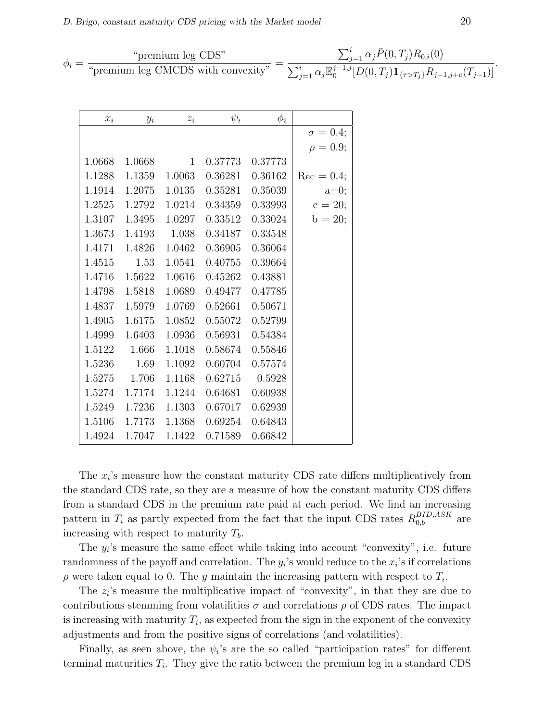$$
\phi_i = \frac{\text{``premium leg CDS''}}{\text{``premium leg CMCDS with convexity''}} = \frac{\sum_{j=1}^i \alpha_j \bar{P}(0, T_j) R_{0,i}(0)}{\sum_{j=1}^i \alpha_j \mathbb{E}_0^{j-1,j} [D(0, T_j) \mathbf{1}_{\{\tau > T_j\}} R_{j-1,j+c}(T_{j-1})]}.
$$

| $x_i$  | $y_i$  | $z_i$        | $\psi_i$ | $\phi_i$ |                     |
|--------|--------|--------------|----------|----------|---------------------|
|        |        |              |          |          | $\sigma = 0.4;$     |
|        |        |              |          |          | $\rho = 0.9;$       |
| 1.0668 | 1.0668 | $\mathbf{1}$ | 0.37773  | 0.37773  |                     |
| 1.1288 | 1.1359 | 1.0063       | 0.36281  | 0.36162  | $\rm{Re } c = 0.4;$ |
| 1.1914 | 1.2075 | 1.0135       | 0.35281  | 0.35039  | $a=0;$              |
| 1.2525 | 1.2792 | 1.0214       | 0.34359  | 0.33993  | $c = 20;$           |
| 1.3107 | 1.3495 | 1.0297       | 0.33512  | 0.33024  | $b = 20;$           |
| 1.3673 | 1.4193 | 1.038        | 0.34187  | 0.33548  |                     |
| 1.4171 | 1.4826 | 1.0462       | 0.36905  | 0.36064  |                     |
| 1.4515 | 1.53   | 1.0541       | 0.40755  | 0.39664  |                     |
| 1.4716 | 1.5622 | 1.0616       | 0.45262  | 0.43881  |                     |
| 1.4798 | 1.5818 | 1.0689       | 0.49477  | 0.47785  |                     |
| 1.4837 | 1.5979 | 1.0769       | 0.52661  | 0.50671  |                     |
| 1.4905 | 1.6175 | 1.0852       | 0.55072  | 0.52799  |                     |
| 1.4999 | 1.6403 | 1.0936       | 0.56931  | 0.54384  |                     |
| 1.5122 | 1.666  | 1.1018       | 0.58674  | 0.55846  |                     |
| 1.5236 | 1.69   | 1.1092       | 0.60704  | 0.57574  |                     |
| 1.5275 | 1.706  | 1.1168       | 0.62715  | 0.5928   |                     |
| 1.5274 | 1.7174 | 1.1244       | 0.64681  | 0.60938  |                     |
| 1.5249 | 1.7236 | 1.1303       | 0.67017  | 0.62939  |                     |
| 1.5106 | 1.7173 | 1.1368       | 0.69254  | 0.64843  |                     |
| 1.4924 | 1.7047 | 1.1422       | 0.71589  | 0.66842  |                     |

The  $x_i$ 's measure how the constant maturity CDS rate differs multiplicatively from the standard CDS rate, so they are a measure of how the constant maturity CDS differs from a standard CDS in the premium rate paid at each period. We find an increasing pattern in  $T_i$  as partly expected from the fact that the input CDS rates  $R_{0,b}^{BID,ASK}$  are increasing with respect to maturity  $T_b$ .

The  $y_i$ 's measure the same effect while taking into account "convexity", i.e. future randomness of the payoff and correlation. The  $y_i$ 's would reduce to the  $x_i$ 's if correlations  $\rho$  were taken equal to 0. The y maintain the increasing pattern with respect to  $T_i$ .

The  $z_i$ 's measure the multiplicative impact of "convexity", in that they are due to contributions stemming from volatilities  $\sigma$  and correlations  $\rho$  of CDS rates. The impact is increasing with maturity  $T_i$ , as expected from the sign in the exponent of the convexity adjustments and from the positive signs of correlations (and volatilities).

Finally, as seen above, the  $\psi_i$ 's are the so called "participation rates" for different terminal maturities  $T_i$ . They give the ratio between the premium leg in a standard CDS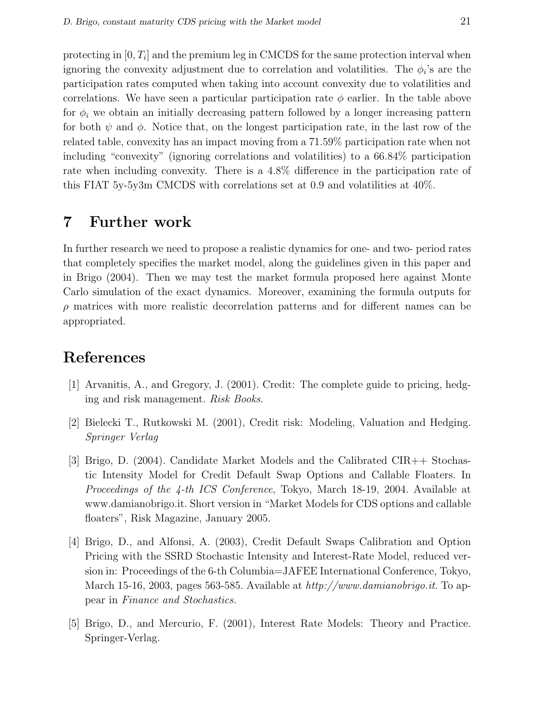protecting in  $[0, T_i]$  and the premium leg in CMCDS for the same protection interval when ignoring the convexity adjustment due to correlation and volatilities. The  $\phi_i$ 's are the participation rates computed when taking into account convexity due to volatilities and correlations. We have seen a particular participation rate  $\phi$  earlier. In the table above for  $\phi_i$  we obtain an initially decreasing pattern followed by a longer increasing pattern for both  $\psi$  and  $\phi$ . Notice that, on the longest participation rate, in the last row of the related table, convexity has an impact moving from a 71.59% participation rate when not including "convexity" (ignoring correlations and volatilities) to a 66.84% participation rate when including convexity. There is a 4.8% difference in the participation rate of this FIAT 5y-5y3m CMCDS with correlations set at 0.9 and volatilities at 40%.

## 7 Further work

In further research we need to propose a realistic dynamics for one- and two- period rates that completely specifies the market model, along the guidelines given in this paper and in Brigo (2004). Then we may test the market formula proposed here against Monte Carlo simulation of the exact dynamics. Moreover, examining the formula outputs for  $\rho$  matrices with more realistic decorrelation patterns and for different names can be appropriated.

### **References**

- [1] Arvanitis, A., and Gregory, J. (2001). Credit: The complete guide to pricing, hedging and risk management. Risk Books.
- [2] Bielecki T., Rutkowski M. (2001), Credit risk: Modeling, Valuation and Hedging. Springer Verlag
- [3] Brigo, D. (2004). Candidate Market Models and the Calibrated CIR++ Stochastic Intensity Model for Credit Default Swap Options and Callable Floaters. In Proceedings of the 4-th ICS Conference, Tokyo, March 18-19, 2004. Available at www.damianobrigo.it. Short version in "Market Models for CDS options and callable floaters", Risk Magazine, January 2005.
- [4] Brigo, D., and Alfonsi, A. (2003), Credit Default Swaps Calibration and Option Pricing with the SSRD Stochastic Intensity and Interest-Rate Model, reduced version in: Proceedings of the 6-th Columbia=JAFEE International Conference, Tokyo, March 15-16, 2003, pages 563-585. Available at http://www.damianobrigo.it. To appear in Finance and Stochastics.
- [5] Brigo, D., and Mercurio, F. (2001), Interest Rate Models: Theory and Practice. Springer-Verlag.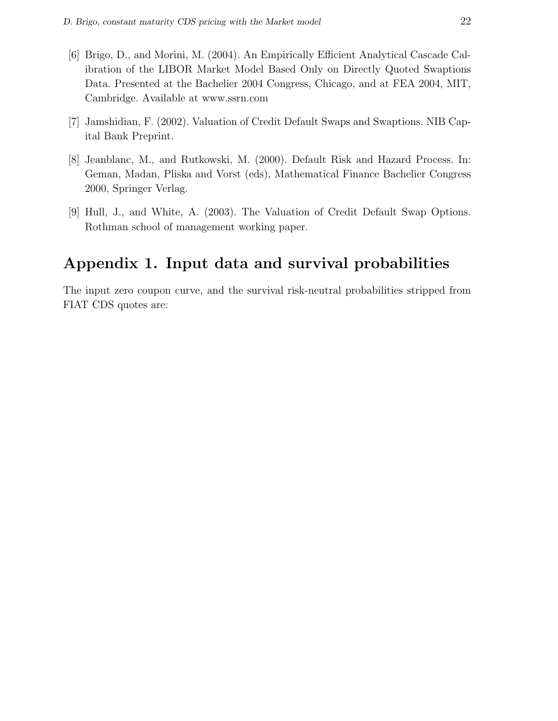- [6] Brigo, D., and Morini, M. (2004). An Empirically Efficient Analytical Cascade Calibration of the LIBOR Market Model Based Only on Directly Quoted Swaptions Data. Presented at the Bachelier 2004 Congress, Chicago, and at FEA 2004, MIT, Cambridge. Available at www.ssrn.com
- [7] Jamshidian, F. (2002). Valuation of Credit Default Swaps and Swaptions. NIB Capital Bank Preprint.
- [8] Jeanblanc, M., and Rutkowski, M. (2000). Default Risk and Hazard Process. In: Geman, Madan, Pliska and Vorst (eds), Mathematical Finance Bachelier Congress 2000, Springer Verlag.
- [9] Hull, J., and White, A. (2003). The Valuation of Credit Default Swap Options. Rothman school of management working paper.

## Appendix 1. Input data and survival probabilities

The input zero coupon curve, and the survival risk-neutral probabilities stripped from FIAT CDS quotes are: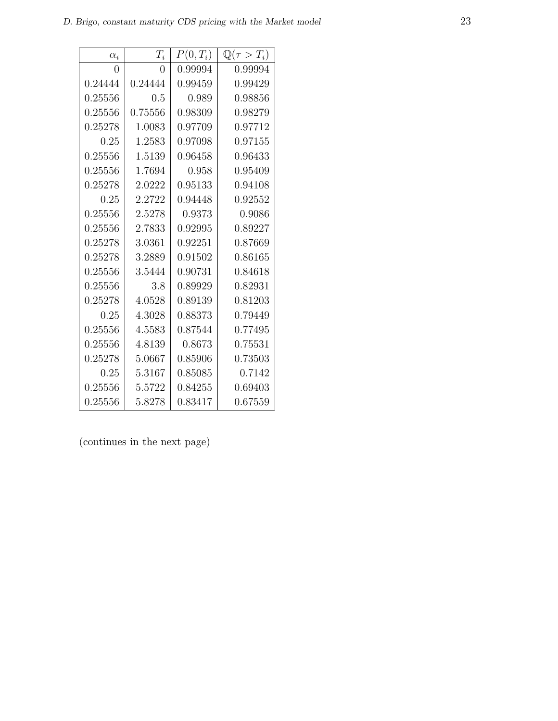| $\alpha_i$ | $T_i$   | $P(0,T_i)$ | $\mathbb{Q}(\tau > T_i)$ |
|------------|---------|------------|--------------------------|
| 0          | 0       | 0.99994    | 0.99994                  |
| 0.24444    | 0.24444 | 0.99459    | 0.99429                  |
| 0.25556    | 0.5     | 0.989      | 0.98856                  |
| 0.25556    | 0.75556 | 0.98309    | 0.98279                  |
| 0.25278    | 1.0083  | 0.97709    | 0.97712                  |
| 0.25       | 1.2583  | 0.97098    | 0.97155                  |
| 0.25556    | 1.5139  | 0.96458    | 0.96433                  |
| 0.25556    | 1.7694  | 0.958      | 0.95409                  |
| 0.25278    | 2.0222  | 0.95133    | 0.94108                  |
| 0.25       | 2.2722  | 0.94448    | 0.92552                  |
| 0.25556    | 2.5278  | 0.9373     | 0.9086                   |
| 0.25556    | 2.7833  | 0.92995    | 0.89227                  |
| 0.25278    | 3.0361  | 0.92251    | 0.87669                  |
| 0.25278    | 3.2889  | 0.91502    | 0.86165                  |
| 0.25556    | 3.5444  | 0.90731    | 0.84618                  |
| 0.25556    | 3.8     | 0.89929    | 0.82931                  |
| 0.25278    | 4.0528  | 0.89139    | 0.81203                  |
| 0.25       | 4.3028  | 0.88373    | 0.79449                  |
| 0.25556    | 4.5583  | 0.87544    | 0.77495                  |
| 0.25556    | 4.8139  | 0.8673     | 0.75531                  |
| 0.25278    | 5.0667  | 0.85906    | 0.73503                  |
| 0.25       | 5.3167  | 0.85085    | 0.7142                   |
| 0.25556    | 5.5722  | 0.84255    | 0.69403                  |
| 0.25556    | 5.8278  | 0.83417    | 0.67559                  |

(continues in the next page)